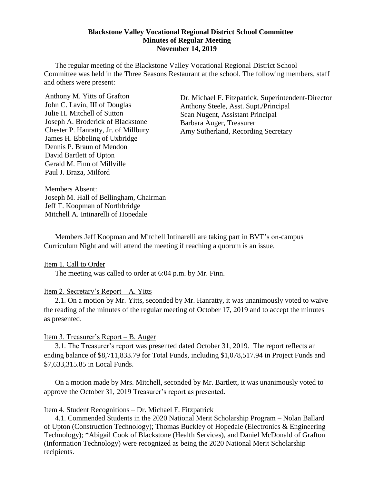#### **Blackstone Valley Vocational Regional District School Committee Minutes of Regular Meeting November 14, 2019**

The regular meeting of the Blackstone Valley Vocational Regional District School Committee was held in the Three Seasons Restaurant at the school. The following members, staff and others were present:

Anthony M. Yitts of Grafton John C. Lavin, III of Douglas Julie H. Mitchell of Sutton Joseph A. Broderick of Blackstone Chester P. Hanratty, Jr. of Millbury James H. Ebbeling of Uxbridge Dennis P. Braun of Mendon David Bartlett of Upton Gerald M. Finn of Millville Paul J. Braza, Milford

Dr. Michael F. Fitzpatrick, Superintendent-Director Anthony Steele, Asst. Supt./Principal Sean Nugent, Assistant Principal Barbara Auger, Treasurer Amy Sutherland, Recording Secretary

Members Absent: Joseph M. Hall of Bellingham, Chairman Jeff T. Koopman of Northbridge Mitchell A. Intinarelli of Hopedale

Members Jeff Koopman and Mitchell Intinarelli are taking part in BVT's on-campus Curriculum Night and will attend the meeting if reaching a quorum is an issue.

Item 1. Call to Order

The meeting was called to order at 6:04 p.m. by Mr. Finn.

### Item 2. Secretary's Report – A. Yitts

2.1. On a motion by Mr. Yitts, seconded by Mr. Hanratty, it was unanimously voted to waive the reading of the minutes of the regular meeting of October 17, 2019 and to accept the minutes as presented.

### Item 3. Treasurer's Report – B. Auger

3.1. The Treasurer's report was presented dated October 31, 2019. The report reflects an ending balance of \$8,711,833.79 for Total Funds, including \$1,078,517.94 in Project Funds and \$7,633,315.85 in Local Funds.

On a motion made by Mrs. Mitchell, seconded by Mr. Bartlett, it was unanimously voted to approve the October 31, 2019 Treasurer's report as presented.

#### Item 4. Student Recognitions – Dr. Michael F. Fitzpatrick

4.1. Commended Students in the 2020 National Merit Scholarship Program – Nolan Ballard of Upton (Construction Technology); Thomas Buckley of Hopedale (Electronics & Engineering Technology); \*Abigail Cook of Blackstone (Health Services), and Daniel McDonald of Grafton (Information Technology) were recognized as being the 2020 National Merit Scholarship recipients.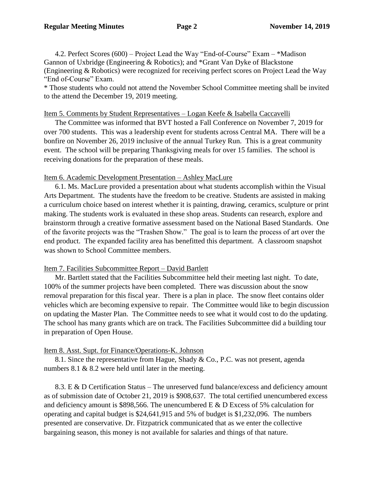4.2. Perfect Scores (600) – Project Lead the Way "End-of-Course" Exam – \*Madison Gannon of Uxbridge (Engineering & Robotics); and \*Grant Van Dyke of Blackstone (Engineering & Robotics) were recognized for receiving perfect scores on Project Lead the Way "End of-Course" Exam.

\* Those students who could not attend the November School Committee meeting shall be invited to the attend the December 19, 2019 meeting.

### Item 5. Comments by Student Representatives – Logan Keefe & Isabella Caccavelli

The Committee was informed that BVT hosted a Fall Conference on November 7, 2019 for over 700 students. This was a leadership event for students across Central MA. There will be a bonfire on November 26, 2019 inclusive of the annual Turkey Run. This is a great community event. The school will be preparing Thanksgiving meals for over 15 families. The school is receiving donations for the preparation of these meals.

### Item 6. Academic Development Presentation – Ashley MacLure

6.1. Ms. MacLure provided a presentation about what students accomplish within the Visual Arts Department. The students have the freedom to be creative. Students are assisted in making a curriculum choice based on interest whether it is painting, drawing, ceramics, sculpture or print making. The students work is evaluated in these shop areas. Students can research, explore and brainstorm through a creative formative assessment based on the National Based Standards. One of the favorite projects was the "Trashen Show." The goal is to learn the process of art over the end product. The expanded facility area has benefitted this department. A classroom snapshot was shown to School Committee members.

### Item 7. Facilities Subcommittee Report – David Bartlett

Mr. Bartlett stated that the Facilities Subcommittee held their meeting last night. To date, 100% of the summer projects have been completed. There was discussion about the snow removal preparation for this fiscal year. There is a plan in place. The snow fleet contains older vehicles which are becoming expensive to repair. The Committee would like to begin discussion on updating the Master Plan. The Committee needs to see what it would cost to do the updating. The school has many grants which are on track. The Facilities Subcommittee did a building tour in preparation of Open House.

### Item 8. Asst. Supt. for Finance/Operations-K. Johnson

8.1. Since the representative from Hague, Shady & Co., P.C. was not present, agenda numbers 8.1 & 8.2 were held until later in the meeting.

8.3. E & D Certification Status – The unreserved fund balance/excess and deficiency amount as of submission date of October 21, 2019 is \$908,637. The total certified unencumbered excess and deficiency amount is \$898,566. The unencumbered E & D Excess of 5% calculation for operating and capital budget is \$24,641,915 and 5% of budget is \$1,232,096. The numbers presented are conservative. Dr. Fitzpatrick communicated that as we enter the collective bargaining season, this money is not available for salaries and things of that nature.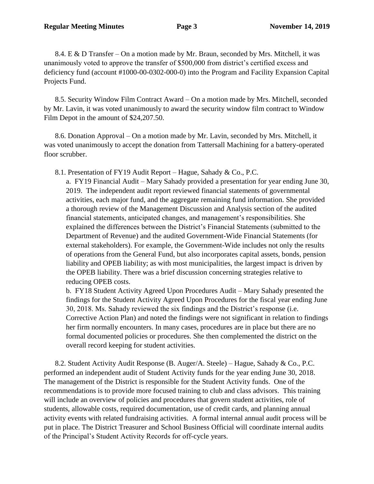8.4. E & D Transfer – On a motion made by Mr. Braun, seconded by Mrs. Mitchell, it was unanimously voted to approve the transfer of \$500,000 from district's certified excess and deficiency fund (account #1000-00-0302-000-0) into the Program and Facility Expansion Capital Projects Fund.

8.5. Security Window Film Contract Award – On a motion made by Mrs. Mitchell, seconded by Mr. Lavin, it was voted unanimously to award the security window film contract to Window Film Depot in the amount of \$24,207.50.

8.6. Donation Approval – On a motion made by Mr. Lavin, seconded by Mrs. Mitchell, it was voted unanimously to accept the donation from Tattersall Machining for a battery-operated floor scrubber.

8.1. Presentation of FY19 Audit Report – Hague, Sahady & Co., P.C.

a. FY19 Financial Audit – Mary Sahady provided a presentation for year ending June 30, 2019. The independent audit report reviewed financial statements of governmental activities, each major fund, and the aggregate remaining fund information. She provided a thorough review of the Management Discussion and Analysis section of the audited financial statements, anticipated changes, and management's responsibilities. She explained the differences between the District's Financial Statements (submitted to the Department of Revenue) and the audited Government-Wide Financial Statements (for external stakeholders). For example, the Government-Wide includes not only the results of operations from the General Fund, but also incorporates capital assets, bonds, pension liability and OPEB liability; as with most municipalities, the largest impact is driven by the OPEB liability. There was a brief discussion concerning strategies relative to reducing OPEB costs.

b. FY18 Student Activity Agreed Upon Procedures Audit – Mary Sahady presented the findings for the Student Activity Agreed Upon Procedures for the fiscal year ending June 30, 2018. Ms. Sahady reviewed the six findings and the District's response (i.e. Corrective Action Plan) and noted the findings were not significant in relation to findings her firm normally encounters. In many cases, procedures are in place but there are no formal documented policies or procedures. She then complemented the district on the overall record keeping for student activities.

8.2. Student Activity Audit Response (B. Auger/A. Steele) – Hague, Sahady & Co., P.C. performed an independent audit of Student Activity funds for the year ending June 30, 2018. The management of the District is responsible for the Student Activity funds. One of the recommendations is to provide more focused training to club and class advisors. This training will include an overview of policies and procedures that govern student activities, role of students, allowable costs, required documentation, use of credit cards, and planning annual activity events with related fundraising activities. A formal internal annual audit process will be put in place. The District Treasurer and School Business Official will coordinate internal audits of the Principal's Student Activity Records for off-cycle years.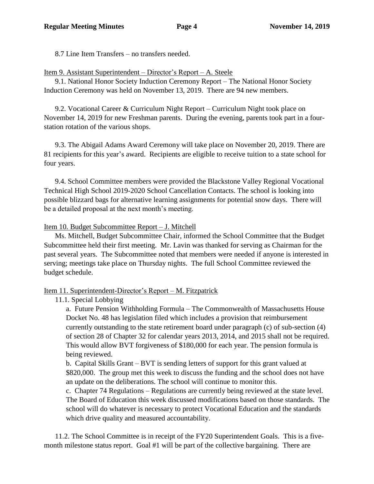8.7 Line Item Transfers – no transfers needed.

Item 9. Assistant Superintendent – Director's Report – A. Steele

9.1. National Honor Society Induction Ceremony Report – The National Honor Society Induction Ceremony was held on November 13, 2019. There are 94 new members.

9.2. Vocational Career & Curriculum Night Report – Curriculum Night took place on November 14, 2019 for new Freshman parents. During the evening, parents took part in a fourstation rotation of the various shops.

9.3. The Abigail Adams Award Ceremony will take place on November 20, 2019. There are 81 recipients for this year's award. Recipients are eligible to receive tuition to a state school for four years.

9.4. School Committee members were provided the Blackstone Valley Regional Vocational Technical High School 2019-2020 School Cancellation Contacts. The school is looking into possible blizzard bags for alternative learning assignments for potential snow days. There will be a detailed proposal at the next month's meeting.

Item 10. Budget Subcommittee Report – J. Mitchell

Ms. Mitchell, Budget Subcommittee Chair, informed the School Committee that the Budget Subcommittee held their first meeting. Mr. Lavin was thanked for serving as Chairman for the past several years. The Subcommittee noted that members were needed if anyone is interested in serving; meetings take place on Thursday nights. The full School Committee reviewed the budget schedule.

# Item 11. Superintendent-Director's Report – M. Fitzpatrick

# 11.1. Special Lobbying

a. Future Pension Withholding Formula – The Commonwealth of Massachusetts House Docket No. 48 has legislation filed which includes a provision that reimbursement currently outstanding to the state retirement board under paragraph (c) of sub-section (4) of section 28 of Chapter 32 for calendar years 2013, 2014, and 2015 shall not be required. This would allow BVT forgiveness of \$180,000 for each year. The pension formula is being reviewed.

b. Capital Skills Grant – BVT is sending letters of support for this grant valued at \$820,000. The group met this week to discuss the funding and the school does not have an update on the deliberations. The school will continue to monitor this.

c. Chapter 74 Regulations – Regulations are currently being reviewed at the state level. The Board of Education this week discussed modifications based on those standards. The school will do whatever is necessary to protect Vocational Education and the standards which drive quality and measured accountability.

11.2. The School Committee is in receipt of the FY20 Superintendent Goals. This is a fivemonth milestone status report. Goal #1 will be part of the collective bargaining. There are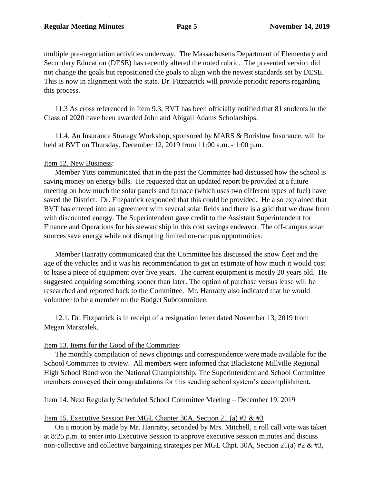multiple pre-negotiation activities underway. The Massachusetts Department of Elementary and Secondary Education (DESE) has recently altered the noted rubric. The presented version did not change the goals but repositioned the goals to align with the newest standards set by DESE. This is now in alignment with the state. Dr. Fitzpatrick will provide periodic reports regarding this process.

11.3 As cross referenced in Item 9.3, BVT has been officially notified that 81 students in the Class of 2020 have been awarded John and Abigail Adams Scholarships.

11.4. An Insurance Strategy Workshop, sponsored by MARS & Borislow Insurance, will be held at BVT on Thursday, December 12, 2019 from 11:00 a.m. - 1:00 p.m.

## Item 12. New Business:

Member Yitts communicated that in the past the Committee had discussed how the school is saving money on energy bills. He requested that an updated report be provided at a future meeting on how much the solar panels and furnace (which uses two different types of fuel) have saved the District. Dr. Fitzpatrick responded that this could be provided. He also explained that BVT has entered into an agreement with several solar fields and there is a grid that we draw from with discounted energy. The Superintendent gave credit to the Assistant Superintendent for Finance and Operations for his stewardship in this cost savings endeavor. The off-campus solar sources save energy while not disrupting limited on-campus opportunities.

Member Hanratty communicated that the Committee has discussed the snow fleet and the age of the vehicles and it was his recommendation to get an estimate of how much it would cost to lease a piece of equipment over five years. The current equipment is mostly 20 years old. He suggested acquiring something sooner than later. The option of purchase versus lease will be researched and reported back to the Committee. Mr. Hanratty also indicated that he would volunteer to be a member on the Budget Subcommittee.

12.1. Dr. Fitzpatrick is in receipt of a resignation letter dated November 13, 2019 from Megan Marszalek.

## Item 13. Items for the Good of the Committee:

The monthly compilation of news clippings and correspondence were made available for the School Committee to review. All members were informed that Blackstone Millville Regional High School Band won the National Championship. The Superintendent and School Committee members conveyed their congratulations for this sending school system's accomplishment.

### Item 14. Next Regularly Scheduled School Committee Meeting – December 19, 2019

## Item 15. Executive Session Per MGL Chapter 30A, Section 21 (a) #2 & #3

On a motion by made by Mr. Hanratty, seconded by Mrs. Mitchell, a roll call vote was taken at 8:25 p.m. to enter into Executive Session to approve executive session minutes and discuss non-collective and collective bargaining strategies per MGL Chpt. 30A, Section 21(a) #2 & #3,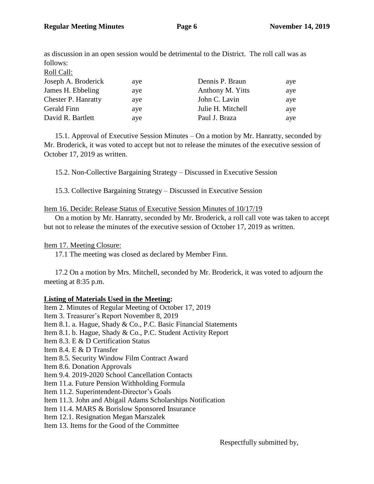as discussion in an open session would be detrimental to the District. The roll call was as follows:

| ave | Dennis P. Braun   | aye |
|-----|-------------------|-----|
| aye | Anthony M. Yitts  | aye |
| aye | John C. Lavin     | aye |
| aye | Julie H. Mitchell | aye |
| aye | Paul J. Braza     | aye |
|     |                   |     |

15.1. Approval of Executive Session Minutes – On a motion by Mr. Hanratty, seconded by Mr. Broderick, it was voted to accept but not to release the minutes of the executive session of October 17, 2019 as written.

15.2. Non-Collective Bargaining Strategy – Discussed in Executive Session

15.3. Collective Bargaining Strategy – Discussed in Executive Session

## Item 16. Decide: Release Status of Executive Session Minutes of 10/17/19

On a motion by Mr. Hanratty, seconded by Mr. Broderick, a roll call vote was taken to accept but not to release the minutes of the executive session of October 17, 2019 as written.

## Item 17. Meeting Closure:

17.1 The meeting was closed as declared by Member Finn.

17.2 On a motion by Mrs. Mitchell, seconded by Mr. Broderick, it was voted to adjourn the meeting at 8:35 p.m.

## **Listing of Materials Used in the Meeting:**

Item 2. Minutes of Regular Meeting of October 17, 2019 Item 3. Treasurer's Report November 8, 2019 Item 8.1. a. Hague, Shady & Co., P.C. Basic Financial Statements Item 8.1. b. Hague, Shady & Co., P.C. Student Activity Report Item 8.3. E & D Certification Status Item 8.4. E & D Transfer Item 8.5. Security Window Film Contract Award Item 8.6. Donation Approvals Item 9.4. 2019-2020 School Cancellation Contacts Item 11.a. Future Pension Withholding Formula Item 11.2. Superintendent-Director's Goals Item 11.3. John and Abigail Adams Scholarships Notification Item 11.4. MARS & Borislow Sponsored Insurance Item 12.1. Resignation Megan Marszalek Item 13. Items for the Good of the Committee

Respectfully submitted by,